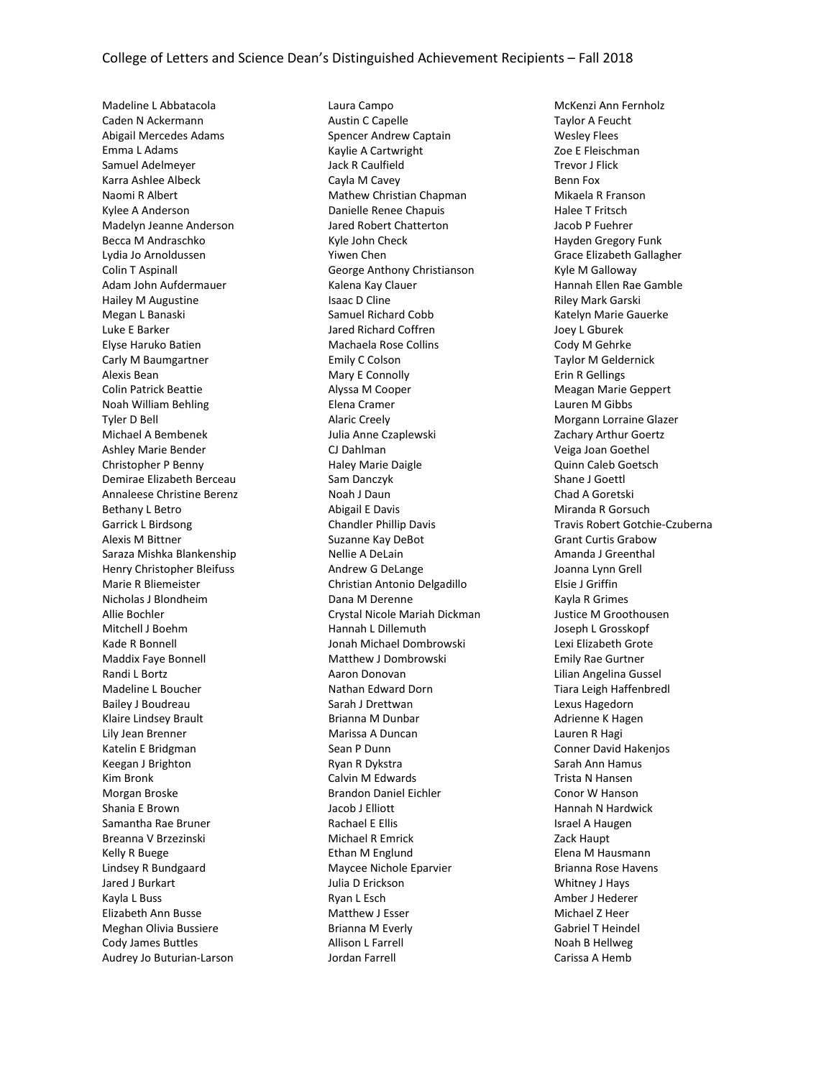Madeline L Abbatacola Caden N Ackermann Abigail Mercedes Adams Emma L Adams Samuel Adelmeyer Karra Ashlee Albeck Naomi R Albert Kylee A Anderson Madelyn Jeanne Anderson Becca M Andraschko Lydia Jo Arnoldussen Colin T Aspinall Adam John Aufdermauer Hailey M Augustine Megan L Banaski Luke E Barker Elyse Haruko Batien Carly M Baumgartner Alexis Bean Colin Patrick Beattie Noah William Behling Tyler D Bell Michael A Bembenek Ashley Marie Bender Christopher P Benny Demirae Elizabeth Berceau Annaleese Christine Berenz Bethany L Betro Garrick L Birdsong Alexis M Bittner Saraza Mishka Blankenship Henry Christopher Bleifuss Marie R Bliemeister Nicholas J Blondheim Allie Bochler Mitchell J Boehm Kade R Bonnell Maddix Faye Bonnell Randi L Bortz Madeline L Boucher Bailey J Boudreau Klaire Lindsey Brault Lily Jean Brenner Katelin E Bridgman Keegan J Brighton Kim Bronk Morgan Broske Shania E Brown Samantha Rae Bruner Breanna V Brzezinski Kelly R Buege Lindsey R Bundgaard Jared J Burkart Kayla L Buss Elizabeth Ann Busse Meghan Olivia Bussiere Cody James Buttles Audrey Jo Buturian-Larson

Laura Campo Austin C Capelle Spencer Andrew Captain Kaylie A Cartwright Jack R Caulfield Cayla M Cavey Mathew Christian Chapman Danielle Renee Chapuis Jared Robert Chatterton Kyle John Check Yiwen Chen George Anthony Christianson Kalena Kay Clauer Isaac D Cline Samuel Richard Cobb Jared Richard Coffren Machaela Rose Collins Emily C Colson Mary E Connolly Alyssa M Cooper Elena Cramer Alaric Creely Julia Anne Czaplewski CJ Dahlman Haley Marie Daigle Sam Danczyk Noah J Daun Abigail E Davis Chandler Phillip Davis Suzanne Kay DeBot Nellie A DeLain Andrew G DeLange Christian Antonio Delgadillo Dana M Derenne Crystal Nicole Mariah Dickman Hannah L Dillemuth Jonah Michael Dombrowski Matthew J Dombrowski Aaron Donovan Nathan Edward Dorn Sarah J Drettwan Brianna M Dunbar Marissa A Duncan Sean P Dunn Ryan R Dykstra Calvin M Edwards Brandon Daniel Eichler Jacob J Elliott Rachael E Ellis Michael R Emrick Ethan M Englund Maycee Nichole Eparvier Julia D Erickson Ryan L Esch Matthew J Esser Brianna M Everly Allison L Farrell Jordan Farrell

McKenzi Ann Fernholz Taylor A Feucht Wesley Flees Zoe E Fleischman Trevor J Flick Benn Fox Mikaela R Franson Halee T Fritsch Jacob P Fuehrer Hayden Gregory Funk Grace Elizabeth Gallagher Kyle M Galloway Hannah Ellen Rae Gamble Riley Mark Garski Katelyn Marie Gauerke Joey L Gburek Cody M Gehrke Taylor M Geldernick Erin R Gellings Meagan Marie Geppert Lauren M Gibbs Morgann Lorraine Glazer Zachary Arthur Goertz Veiga Joan Goethel Quinn Caleb Goetsch Shane J Goettl Chad A Goretski Miranda R Gorsuch Travis Robert Gotchie-Czuberna Grant Curtis Grabow Amanda J Greenthal Joanna Lynn Grell Elsie J Griffin Kayla R Grimes Justice M Groothousen Joseph L Grosskopf Lexi Elizabeth Grote Emily Rae Gurtner Lilian Angelina Gussel Tiara Leigh Haffenbredl Lexus Hagedorn Adrienne K Hagen Lauren R Hagi Conner David Hakenjos Sarah Ann Hamus Trista N Hansen Conor W Hanson Hannah N Hardwick Israel A Haugen Zack Haupt Elena M Hausmann Brianna Rose Havens Whitney J Hays Amber J Hederer Michael Z Heer Gabriel T Heindel Noah B Hellweg Carissa A Hemb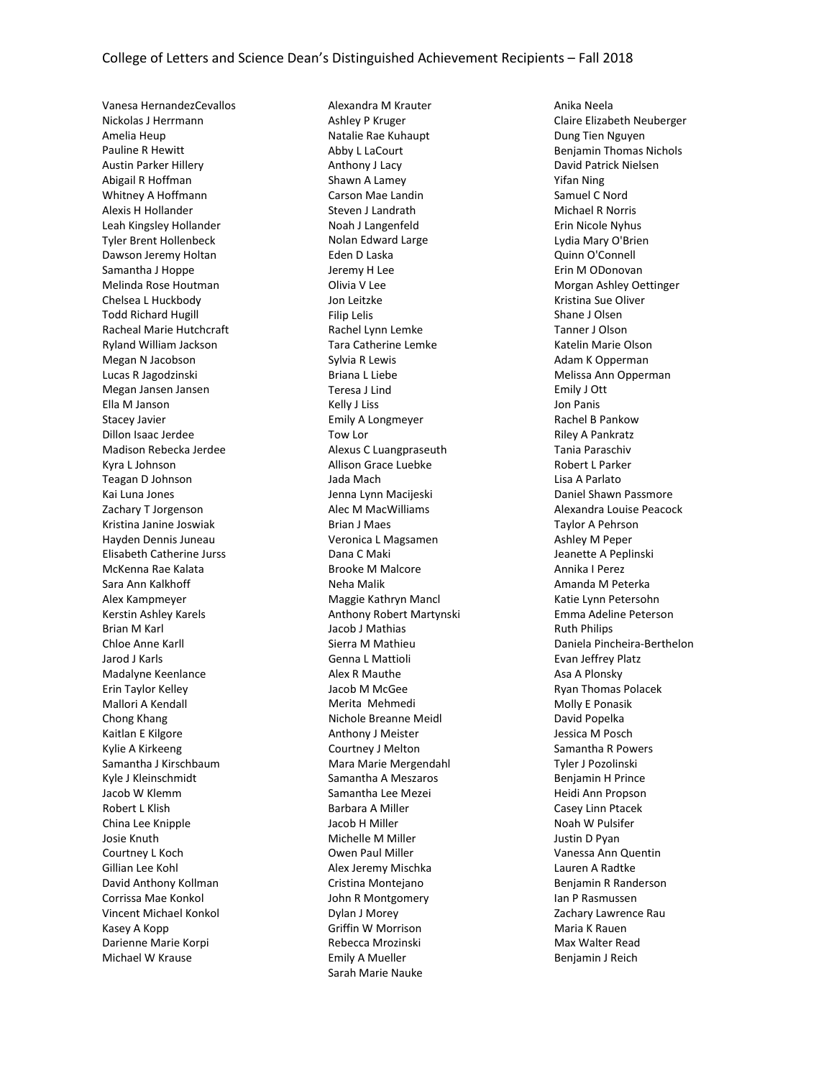Vanesa HernandezCevallos Nickolas J Herrmann Amelia Heup Pauline R Hewitt Austin Parker Hillery Abigail R Hoffman Whitney A Hoffmann Alexis H Hollander Leah Kingsley Hollander Tyler Brent Hollenbeck Dawson Jeremy Holtan Samantha J Hoppe Melinda Rose Houtman Chelsea L Huckbody Todd Richard Hugill Racheal Marie Hutchcraft Ryland William Jackson Megan N Jacobson Lucas R Jagodzinski Megan Jansen Jansen Ella M Janson Stacey Javier Dillon Isaac Jerdee Madison Rebecka Jerdee Kyra L Johnson Teagan D Johnson Kai Luna Jones Zachary T Jorgenson Kristina Janine Joswiak Hayden Dennis Juneau Elisabeth Catherine Jurss McKenna Rae Kalata Sara Ann Kalkhoff Alex Kampmeyer Kerstin Ashley Karels Brian M Karl Chloe Anne Karll Jarod J Karls Madalyne Keenlance Erin Taylor Kelley Mallori A Kendall Chong Khang Kaitlan E Kilgore Kylie A Kirkeeng Samantha J Kirschbaum Kyle J Kleinschmidt Jacob W Klemm Robert L Klish China Lee Knipple Josie Knuth Courtney L Koch Gillian Lee Kohl David Anthony Kollman Corrissa Mae Konkol Vincent Michael Konkol Kasey A Kopp Darienne Marie Korpi Michael W Krause

Alexandra M Krauter Ashley P Kruger Natalie Rae Kuhaupt Abby L LaCourt Anthony J Lacy Shawn A Lamey Carson Mae Landin Steven J Landrath Noah J Langenfeld Nolan Edward Large Eden D Laska Jeremy H Lee Olivia V Lee Jon Leitzke Filip Lelis Rachel Lynn Lemke Tara Catherine Lemke Sylvia R Lewis Briana L Liebe Teresa J Lind Kelly J Liss Emily A Longmeyer Tow Lor Alexus C Luangpraseuth Allison Grace Luebke Jada Mach Jenna Lynn Macijeski Alec M MacWilliams Brian J Maes Veronica L Magsamen Dana C Maki Brooke M Malcore Neha Malik Maggie Kathryn Mancl Anthony Robert Martynski Jacob J Mathias Sierra M Mathieu Genna L Mattioli Alex R Mauthe Jacob M McGee Merita Mehmedi Nichole Breanne Meidl Anthony J Meister Courtney J Melton Mara Marie Mergendahl Samantha A Meszaros Samantha Lee Mezei Barbara A Miller Jacob H Miller Michelle M Miller Owen Paul Miller Alex Jeremy Mischka Cristina Montejano John R Montgomery Dylan J Morey Griffin W Morrison Rebecca Mrozinski Emily A Mueller Sarah Marie Nauke

Anika Neela Claire Elizabeth Neuberger Dung Tien Nguyen Benjamin Thomas Nichols David Patrick Nielsen Yifan Ning Samuel C Nord Michael R Norris Erin Nicole Nyhus Lydia Mary O'Brien Quinn O'Connell Erin M ODonovan Morgan Ashley Oettinger Kristina Sue Oliver Shane J Olsen Tanner J Olson Katelin Marie Olson Adam K Opperman Melissa Ann Opperman Emily J Ott Jon Panis Rachel B Pankow Riley A Pankratz Tania Paraschiv Robert L Parker Lisa A Parlato Daniel Shawn Passmore Alexandra Louise Peacock Taylor A Pehrson Ashley M Peper Jeanette A Peplinski Annika I Perez Amanda M Peterka Katie Lynn Petersohn Emma Adeline Peterson Ruth Philips Daniela Pincheira-Berthelon Evan Jeffrey Platz Asa A Plonsky Ryan Thomas Polacek Molly E Ponasik David Popelka Jessica M Posch Samantha R Powers Tyler J Pozolinski Benjamin H Prince Heidi Ann Propson Casey Linn Ptacek Noah W Pulsifer Justin D Pyan Vanessa Ann Quentin Lauren A Radtke Benjamin R Randerson Ian P Rasmussen Zachary Lawrence Rau Maria K Rauen Max Walter Read Benjamin J Reich